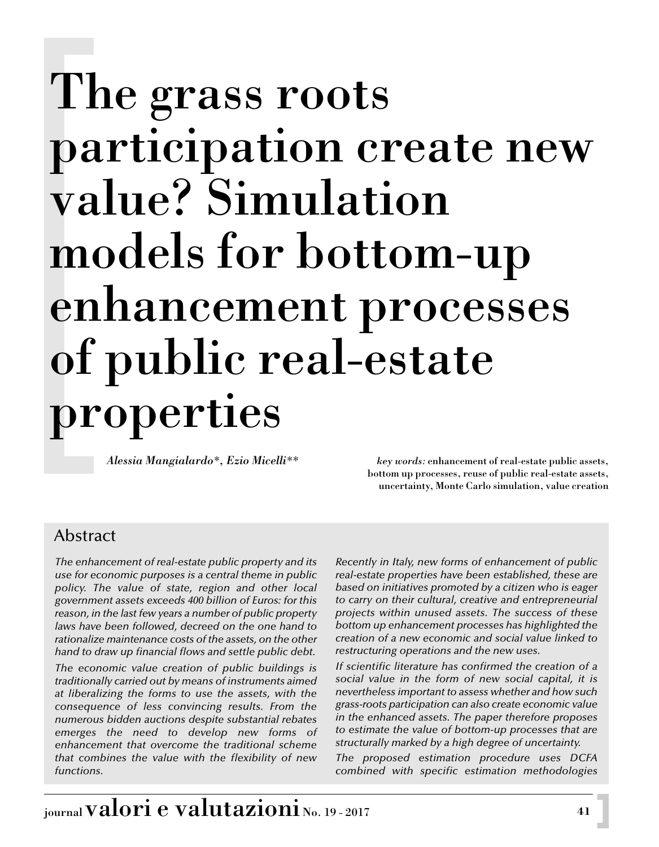# The grass roots participation create new value? Simulation models for bottom-up enhancement processes of public real-estate properties

*Alessia Mangialardo\*, Ezio Micelli\*\* key words:* enhancement of real-estate public assets, bottom up processes, reuse of public real-estate assets, uncertainty, Monte Carlo simulation, value creation

# Abstract

*The enhancement of real-estate public property and its use for economic purposes is a central theme in public policy. The value of state, region and other local government assets exceeds 400 billion of Euros: for this reason, in the last few years a number of public property laws have been followed, decreed on the one hand to rationalize maintenance costs of the assets, on the other hand to draw up financial flows and settle public debt.*

*The economic value creation of public buildings is traditionally carried out by means of instruments aimed at liberalizing the forms to use the assets, with the consequence of less convincing results. From the numerous bidden auctions despite substantial rebates emerges the need to develop new forms of enhancement that overcome the traditional scheme that combines the value with the flexibility of new functions.*

*Recently in Italy, new forms of enhancement of public real-estate properties have been established, these are based on initiatives promoted by a citizen who is eager to carry on their cultural, creative and entrepreneurial projects within unused assets. The success of these bottom up enhancement processes has highlighted the creation of a new economic and social value linked to restructuring operations and the new uses.*

*If scientific literature has confirmed the creation of a social value in the form of new social capital, it is nevertheless important to assess whether and how such grass-roots participation can also create economic value in the enhanced assets. The paper therefore proposes to estimate the value of bottom-up processes that are structurally marked by a high degree of uncertainty.*

*The proposed estimation procedure uses DCFA combined with specific estimation methodologies*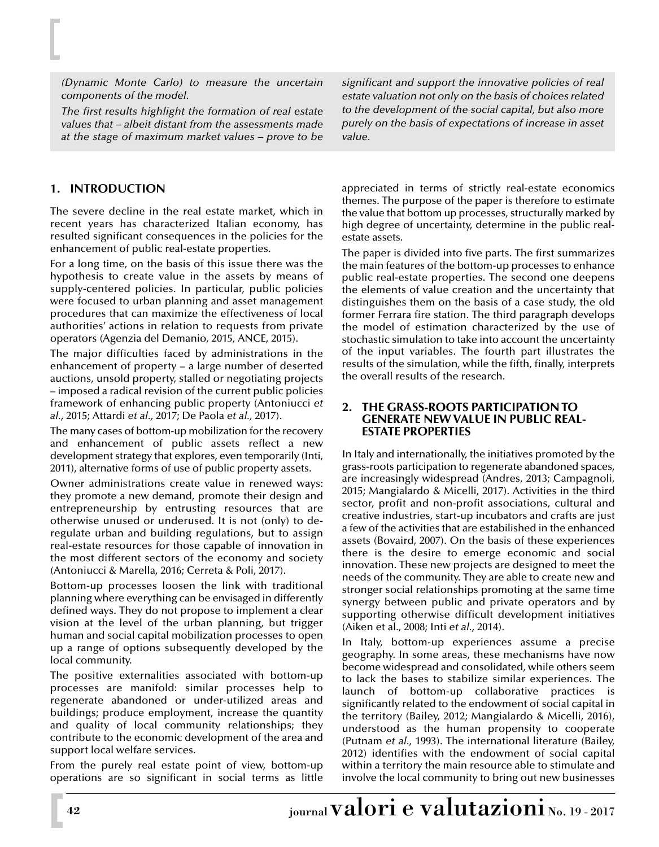*(Dynamic Monte Carlo) to measure the uncertain components of the model.*

*The first results highlight the formation of real estate values that – albeit distant from the assessments made at the stage of maximum market values – prove to be* *significant and support the innovative policies of real estate valuation not only on the basis of choices related to the development of the social capital, but also more purely on the basis of expectations of increase in asset value.*

# **1. INTRODUCTION**

The severe decline in the real estate market, which in recent years has characterized Italian economy, has resulted significant consequences in the policies for the enhancement of public real-estate properties.

For a long time, on the basis of this issue there was the hypothesis to create value in the assets by means of supply-centered policies. In particular, public policies were focused to urban planning and asset management procedures that can maximize the effectiveness of local authorities' actions in relation to requests from private operators (Agenzia del Demanio, 2015, ANCE, 2015).

The major difficulties faced by administrations in the enhancement of property – a large number of deserted auctions, unsold property, stalled or negotiating projects – imposed a radical revision of the current public policies framework of enhancing public property (Antoniucci *et al.,* 2015; Attardi *et al.,* 2017; De Paola *et al.,* 2017).

The many cases of bottom-up mobilization for the recovery and enhancement of public assets reflect a new development strategy that explores, even temporarily (Inti, 2011), alternative forms of use of public property assets.

Owner administrations create value in renewed ways: they promote a new demand, promote their design and entrepreneurship by entrusting resources that are otherwise unused or underused. It is not (only) to deregulate urban and building regulations, but to assign real-estate resources for those capable of innovation in the most different sectors of the economy and society (Antoniucci & Marella, 2016; Cerreta & Poli, 2017).

Bottom-up processes loosen the link with traditional planning where everything can be envisaged in differently defined ways. They do not propose to implement a clear vision at the level of the urban planning, but trigger human and social capital mobilization processes to open up a range of options subsequently developed by the local community.

The positive externalities associated with bottom-up processes are manifold: similar processes help to regenerate abandoned or under-utilized areas and buildings; produce employment, increase the quantity and quality of local community relationships; they contribute to the economic development of the area and support local welfare services.

From the purely real estate point of view, bottom-up operations are so significant in social terms as little appreciated in terms of strictly real-estate economics themes. The purpose of the paper is therefore to estimate the value that bottom up processes, structurally marked by high degree of uncertainty, determine in the public realestate assets.

The paper is divided into five parts. The first summarizes the main features of the bottom-up processes to enhance public real-estate properties. The second one deepens the elements of value creation and the uncertainty that distinguishes them on the basis of a case study, the old former Ferrara fire station. The third paragraph develops the model of estimation characterized by the use of stochastic simulation to take into account the uncertainty of the input variables. The fourth part illustrates the results of the simulation, while the fifth, finally, interprets the overall results of the research.

#### **2. THE GRASS-ROOTS PARTICIPATION TO GENERATE NEW VALUE IN PUBLIC REAL-ESTATE PROPERTIES**

In Italy and internationally, the initiatives promoted by the grass-roots participation to regenerate abandoned spaces, are increasingly widespread (Andres, 2013; Campagnoli, 2015; Mangialardo & Micelli, 2017). Activities in the third sector, profit and non-profit associations, cultural and creative industries, start-up incubators and crafts are just a few of the activities that are estabilished in the enhanced assets (Bovaird, 2007). On the basis of these experiences there is the desire to emerge economic and social innovation. These new projects are designed to meet the needs of the community. They are able to create new and stronger social relationships promoting at the same time synergy between public and private operators and by supporting otherwise difficult development initiatives (Aiken et al., 2008; Inti *et al.,* 2014).

In Italy, bottom-up experiences assume a precise geography. In some areas, these mechanisms have now become widespread and consolidated, while others seem to lack the bases to stabilize similar experiences. The launch of bottom-up collaborative practices is significantly related to the endowment of social capital in the territory (Bailey, 2012; Mangialardo & Micelli, 2016), understood as the human propensity to cooperate (Putnam *et al.,* 1993). The international literature (Bailey, 2012) identifies with the endowment of social capital within a territory the main resource able to stimulate and involve the local community to bring out new businesses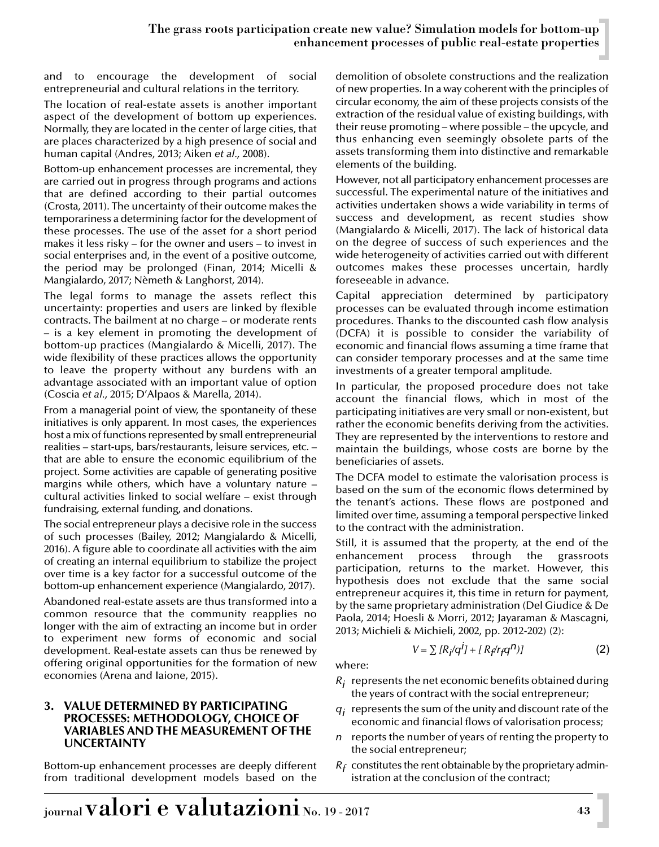and to encourage the development of social entrepreneurial and cultural relations in the territory.

The location of real-estate assets is another important aspect of the development of bottom up experiences. Normally, they are located in the center of large cities, that are places characterized by a high presence of social and human capital (Andres, 2013; Aiken *et al.,* 2008).

Bottom-up enhancement processes are incremental, they are carried out in progress through programs and actions that are defined according to their partial outcomes (Crosta, 2011). The uncertainty of their outcome makes the temporariness a determining factor for the development of these processes. The use of the asset for a short period makes it less risky – for the owner and users – to invest in social enterprises and, in the event of a positive outcome, the period may be prolonged (Finan, 2014; Micelli & Mangialardo, 2017; Nèmeth & Langhorst, 2014).

The legal forms to manage the assets reflect this uncertainty: properties and users are linked by flexible contracts. The bailment at no charge – or moderate rents – is a key element in promoting the development of bottom-up practices (Mangialardo & Micelli, 2017). The wide flexibility of these practices allows the opportunity to leave the property without any burdens with an advantage associated with an important value of option (Coscia *et al.,* 2015; D'Alpaos & Marella, 2014).

From a managerial point of view, the spontaneity of these initiatives is only apparent. In most cases, the experiences host a mix of functions represented by small entrepreneurial realities – start-ups, bars/restaurants, leisure services, etc. – that are able to ensure the economic equilibrium of the project. Some activities are capable of generating positive margins while others, which have a voluntary nature – cultural activities linked to social welfare – exist through fundraising, external funding, and donations.

The social entrepreneur plays a decisive role in the success of such processes (Bailey, 2012; Mangialardo & Micelli, 2016). A figure able to coordinate all activities with the aim of creating an internal equilibrium to stabilize the project over time is a key factor for a successful outcome of the bottom-up enhancement experience (Mangialardo, 2017).

Abandoned real-estate assets are thus transformed into a common resource that the community reapplies no longer with the aim of extracting an income but in order to experiment new forms of economic and social development. Real-estate assets can thus be renewed by offering original opportunities for the formation of new economies (Arena and Iaione, 2015).

#### **3. VALUE DETERMINED BY PARTICIPATING PROCESSES: METHODOLOGY, CHOICE OF VARIABLES AND THE MEASUREMENT OF THE UNCERTAINTY**

Bottom-up enhancement processes are deeply different from traditional development models based on the demolition of obsolete constructions and the realization of new properties. In a way coherent with the principles of circular economy, the aim of these projects consists of the extraction of the residual value of existing buildings, with their reuse promoting – where possible – the upcycle, and thus enhancing even seemingly obsolete parts of the assets transforming them into distinctive and remarkable elements of the building.

However, not all participatory enhancement processes are successful. The experimental nature of the initiatives and activities undertaken shows a wide variability in terms of success and development, as recent studies show (Mangialardo & Micelli, 2017). The lack of historical data on the degree of success of such experiences and the wide heterogeneity of activities carried out with different outcomes makes these processes uncertain, hardly foreseeable in advance.

Capital appreciation determined by participatory processes can be evaluated through income estimation procedures. Thanks to the discounted cash flow analysis (DCFA) it is possible to consider the variability of economic and financial flows assuming a time frame that can consider temporary processes and at the same time investments of a greater temporal amplitude.

In particular, the proposed procedure does not take account the financial flows, which in most of the participating initiatives are very small or non-existent, but rather the economic benefits deriving from the activities. They are represented by the interventions to restore and maintain the buildings, whose costs are borne by the beneficiaries of assets.

The DCFA model to estimate the valorisation process is based on the sum of the economic flows determined by the tenant's actions. These flows are postponed and limited over time, assuming a temporal perspective linked to the contract with the administration.

Still, it is assumed that the property, at the end of the enhancement process through the grassroots participation, returns to the market. However, this hypothesis does not exclude that the same social entrepreneur acquires it, this time in return for payment, by the same proprietary administration (Del Giudice & De Paola, 2014; Hoesli & Morri, 2012; Jayaraman & Mascagni, 2013; Michieli & Michieli, 2002, pp. 2012-202) (2):

where:

*Ri* represents the net economic benefits obtained during

 $V = \sum [R_i/q^i] + [R_f/r_f q^n]$  (2)

- the years of contract with the social entrepreneur;
- *qi* represents the sum of the unity and discount rate of the economic and financial flows of valorisation process;
- *n* reports the number of years of renting the property to the social entrepreneur;
- $R_f$  constitutes the rent obtainable by the proprietary administration at the conclusion of the contract;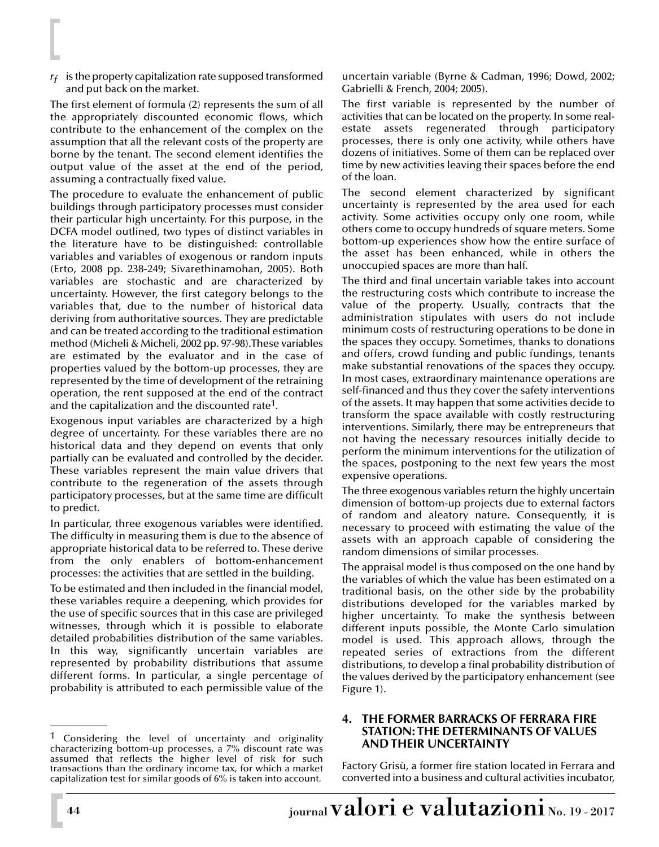*rf* is the property capitalization rate supposed transformed and put back on the market.

The first element of formula (2) represents the sum of all the appropriately discounted economic flows, which contribute to the enhancement of the complex on the assumption that all the relevant costs of the property are borne by the tenant. The second element identifies the output value of the asset at the end of the period, assuming a contractually fixed value.

The procedure to evaluate the enhancement of public buildings through participatory processes must consider their particular high uncertainty. For this purpose, in the DCFA model outlined, two types of distinct variables in the literature have to be distinguished: controllable variables and variables of exogenous or random inputs (Erto, 2008 pp. 238-249; Sivarethinamohan, 2005). Both variables are stochastic and are characterized by uncertainty. However, the first category belongs to the variables that, due to the number of historical data deriving from authoritative sources. They are predictable and can be treated according to the traditional estimation method (Micheli & Micheli, 2002 pp. 97-98).These variables are estimated by the evaluator and in the case of properties valued by the bottom-up processes, they are represented by the time of development of the retraining operation, the rent supposed at the end of the contract and the capitalization and the discounted rate<sup>1</sup>.

Exogenous input variables are characterized by a high degree of uncertainty. For these variables there are no historical data and they depend on events that only partially can be evaluated and controlled by the decider. These variables represent the main value drivers that contribute to the regeneration of the assets through participatory processes, but at the same time are difficult to predict.

In particular, three exogenous variables were identified. The difficulty in measuring them is due to the absence of appropriate historical data to be referred to. These derive from the only enablers of bottom-enhancement processes: the activities that are settled in the building.

To be estimated and then included in the financial model, these variables require a deepening, which provides for the use of specific sources that in this case are privileged witnesses, through which it is possible to elaborate detailed probabilities distribution of the same variables. In this way, significantly uncertain variables are represented by probability distributions that assume different forms. In particular, a single percentage of probability is attributed to each permissible value of the

uncertain variable (Byrne & Cadman, 1996; Dowd, 2002; Gabrielli & French, 2004; 2005).

The first variable is represented by the number of activities that can be located on the property. In some realestate assets regenerated through participatory processes, there is only one activity, while others have dozens of initiatives. Some of them can be replaced over time by new activities leaving their spaces before the end of the loan.

The second element characterized by significant uncertainty is represented by the area used for each activity. Some activities occupy only one room, while others come to occupy hundreds of square meters. Some bottom-up experiences show how the entire surface of the asset has been enhanced, while in others the unoccupied spaces are more than half.

The third and final uncertain variable takes into account the restructuring costs which contribute to increase the value of the property. Usually, contracts that the administration stipulates with users do not include minimum costs of restructuring operations to be done in the spaces they occupy. Sometimes, thanks to donations and offers, crowd funding and public fundings, tenants make substantial renovations of the spaces they occupy. In most cases, extraordinary maintenance operations are self-financed and thus they cover the safety interventions of the assets. It may happen that some activities decide to transform the space available with costly restructuring interventions. Similarly, there may be entrepreneurs that not having the necessary resources initially decide to perform the minimum interventions for the utilization of the spaces, postponing to the next few years the most expensive operations.

The three exogenous variables return the highly uncertain dimension of bottom-up projects due to external factors of random and aleatory nature. Consequently, it is necessary to proceed with estimating the value of the assets with an approach capable of considering the random dimensions of similar processes.

The appraisal model is thus composed on the one hand by the variables of which the value has been estimated on a traditional basis, on the other side by the probability distributions developed for the variables marked by higher uncertainty. To make the synthesis between different inputs possible, the Monte Carlo simulation model is used. This approach allows, through the repeated series of extractions from the different distributions, to develop a final probability distribution of the values derived by the participatory enhancement (see Figure 1).

#### **4. THE FORMER BARRACKS OF FERRARA FIRE STATION: THE DETERMINANTS OF VALUES AND THEIR UNCERTAINTY**

Factory Grisù, a former fire station located in Ferrara and converted into a business and cultural activities incubator,

 $1$  Considering the level of uncertainty and originality characterizing bottom-up processes, a 7% discount rate was assumed that reflects the higher level of risk for such transactions than the ordinary income tax, for which a market capitalization test for similar goods of 6% is taken into account.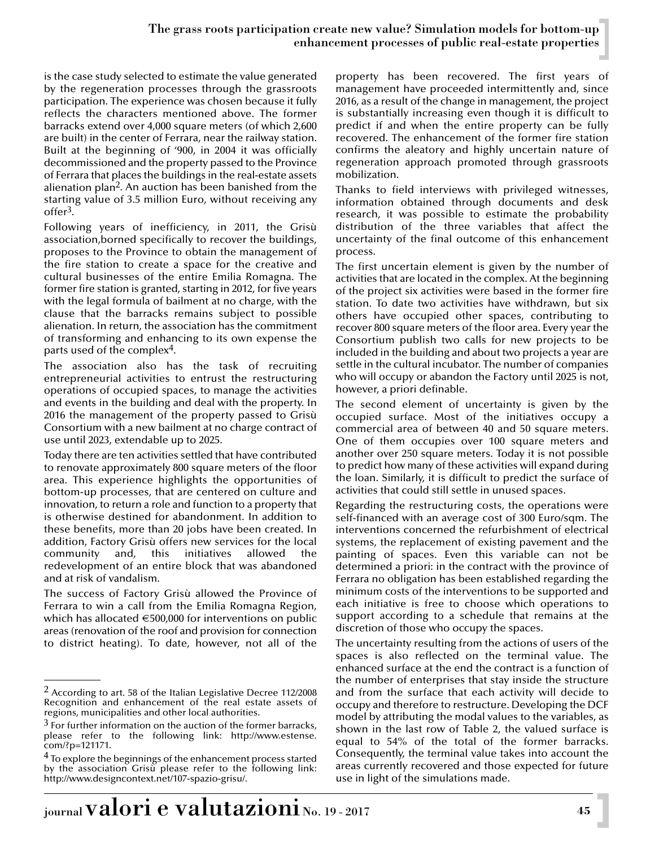# The grass roots participation create new value? Simulation models for bottom-up enhancement processes of public real-estate properties

is the case study selected to estimate the value generated by the regeneration processes through the grassroots participation. The experience was chosen because it fully reflects the characters mentioned above. The former barracks extend over 4,000 square meters (of which 2,600 are built) in the center of Ferrara, near the railway station. Built at the beginning of '900, in 2004 it was officially decommissioned and the property passed to the Province of Ferrara that places the buildings in the real-estate assets alienation plan2. An auction has been banished from the starting value of 3.5 million Euro, without receiving any offer3.

Following years of inefficiency, in 2011, the Grisù association,borned specifically to recover the buildings, proposes to the Province to obtain the management of the fire station to create a space for the creative and cultural businesses of the entire Emilia Romagna. The former fire station is granted, starting in 2012, for five years with the legal formula of bailment at no charge, with the clause that the barracks remains subject to possible alienation. In return, the association has the commitment of transforming and enhancing to its own expense the parts used of the complex4.

The association also has the task of recruiting entrepreneurial activities to entrust the restructuring operations of occupied spaces, to manage the activities and events in the building and deal with the property. In 2016 the management of the property passed to Grisù Consortium with a new bailment at no charge contract of use until 2023, extendable up to 2025.

Today there are ten activities settled that have contributed to renovate approximately 800 square meters of the floor area. This experience highlights the opportunities of bottom-up processes, that are centered on culture and innovation, to return a role and function to a property that is otherwise destined for abandonment. In addition to these benefits, more than 20 jobs have been created. In addition, Factory Grisù offers new services for the local community and, this initiatives allowed the redevelopment of an entire block that was abandoned and at risk of vandalism.

The success of Factory Grisù allowed the Province of Ferrara to win a call from the Emilia Romagna Region, which has allocated  $\epsilon$ 500,000 for interventions on public areas (renovation of the roof and provision for connection to district heating). To date, however, not all of the

property has been recovered. The first years of management have proceeded intermittently and, since 2016, as a result of the change in management, the project is substantially increasing even though it is difficult to predict if and when the entire property can be fully recovered. The enhancement of the former fire station confirms the aleatory and highly uncertain nature of regeneration approach promoted through grassroots mobilization.

Thanks to field interviews with privileged witnesses, information obtained through documents and desk research, it was possible to estimate the probability distribution of the three variables that affect the uncertainty of the final outcome of this enhancement process.

The first uncertain element is given by the number of activities that are located in the complex. At the beginning of the project six activities were based in the former fire station. To date two activities have withdrawn, but six others have occupied other spaces, contributing to recover 800 square meters of the floor area. Every year the Consortium publish two calls for new projects to be included in the building and about two projects a year are settle in the cultural incubator. The number of companies who will occupy or abandon the Factory until 2025 is not, however, a priori definable.

The second element of uncertainty is given by the occupied surface. Most of the initiatives occupy a commercial area of between 40 and 50 square meters. One of them occupies over 100 square meters and another over 250 square meters. Today it is not possible to predict how many of these activities will expand during the loan. Similarly, it is difficult to predict the surface of activities that could still settle in unused spaces.

Regarding the restructuring costs, the operations were self-financed with an average cost of 300 Euro/sqm. The interventions concerned the refurbishment of electrical systems, the replacement of existing pavement and the painting of spaces. Even this variable can not be determined a priori: in the contract with the province of Ferrara no obligation has been established regarding the minimum costs of the interventions to be supported and each initiative is free to choose which operations to support according to a schedule that remains at the discretion of those who occupy the spaces.

The uncertainty resulting from the actions of users of the spaces is also reflected on the terminal value. The enhanced surface at the end the contract is a function of the number of enterprises that stay inside the structure and from the surface that each activity will decide to occupy and therefore to restructure. Developing the DCF model by attributing the modal values to the variables, as shown in the last row of Table 2, the valued surface is equal to 54% of the total of the former barracks. Consequently, the terminal value takes into account the areas currently recovered and those expected for future use in light of the simulations made.

<sup>2</sup> According to art. 58 of the Italian Legislative Decree 112/2008 Recognition and enhancement of the real estate assets of regions, municipalities and other local authorities.

 $3$  For further information on the auction of the former barracks, please refer to the following link: http://www.estense. com/?p=121171.

<sup>&</sup>lt;sup>4</sup> To explore the beginnings of the enhancement process started by the association Grisù please refer to the following link: http://www.designcontext.net/107-spazio-grisu/.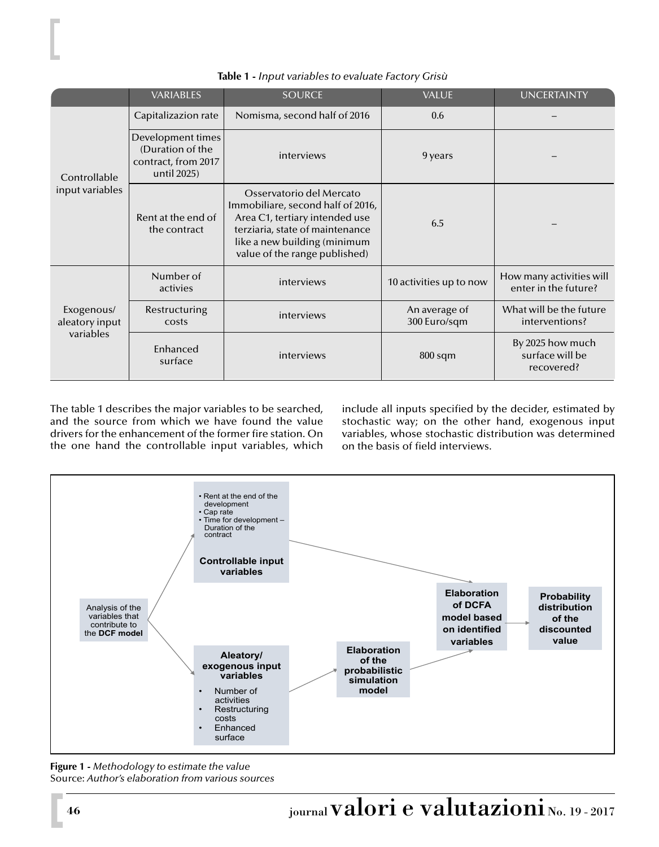|                                           | <b>VARIABLES</b>                                                            | <b>SOURCE</b>                                                                                                                                                                                       | <b>VALUE</b>                  | <b>UNCERTAINTY</b>                                |
|-------------------------------------------|-----------------------------------------------------------------------------|-----------------------------------------------------------------------------------------------------------------------------------------------------------------------------------------------------|-------------------------------|---------------------------------------------------|
| Controllable<br>input variables           | Capitalizazion rate                                                         | Nomisma, second half of 2016                                                                                                                                                                        | 0.6                           |                                                   |
|                                           | Development times<br>(Duration of the<br>contract, from 2017<br>until 2025) | interviews                                                                                                                                                                                          | 9 years                       |                                                   |
|                                           | Rent at the end of<br>the contract                                          | Osservatorio del Mercato<br>Immobiliare, second half of 2016,<br>Area C1, tertiary intended use<br>terziaria, state of maintenance<br>like a new building (minimum<br>value of the range published) | 6.5                           |                                                   |
| Exogenous/<br>aleatory input<br>variables | Number of<br>activies                                                       | interviews                                                                                                                                                                                          | 10 activities up to now       | How many activities will<br>enter in the future?  |
|                                           | Restructuring<br>costs                                                      | interviews                                                                                                                                                                                          | An average of<br>300 Euro/sqm | What will be the future<br>interventions?         |
|                                           | Enhanced<br>surface                                                         | interviews                                                                                                                                                                                          | $800$ sqm                     | By 2025 how much<br>surface will be<br>recovered? |

**Table 1 -** *Input variables to evaluate Factory Grisù*

The table 1 describes the major variables to be searched, and the source from which we have found the value drivers for the enhancement of the former fire station. On the one hand the controllable input variables, which

include all inputs specified by the decider, estimated by stochastic way; on the other hand, exogenous input variables, whose stochastic distribution was determined on the basis of field interviews.



**Figure 1 -** *Methodology to estimate the value* Source: *Author's elaboration from various sources*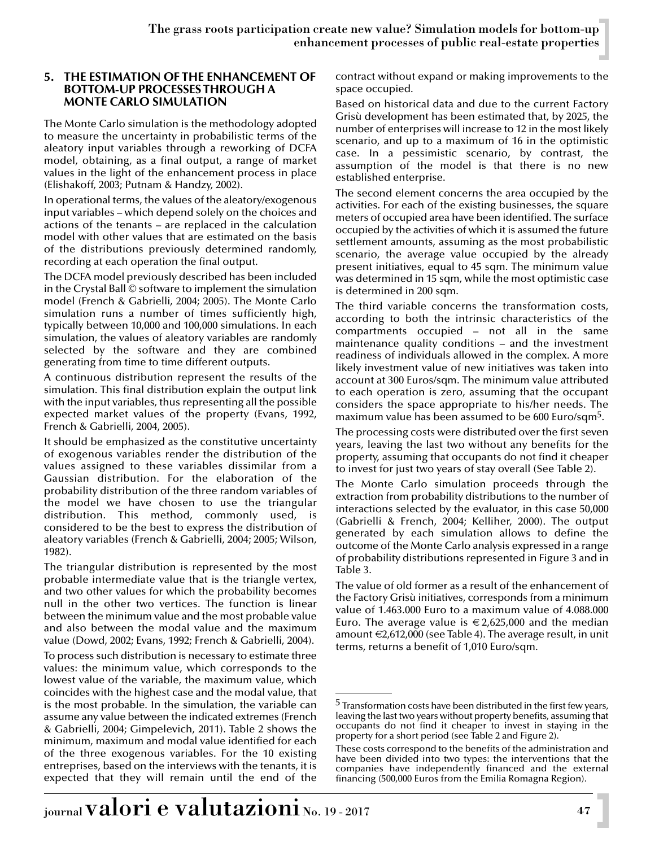#### **5. THE ESTIMATION OF THE ENHANCEMENT OF BOTTOM-UP PROCESSES THROUGH A MONTE CARLO SIMULATION**

The Monte Carlo simulation is the methodology adopted to measure the uncertainty in probabilistic terms of the aleatory input variables through a reworking of DCFA model, obtaining, as a final output, a range of market values in the light of the enhancement process in place (Elishakoff, 2003; Putnam & Handzy, 2002).

In operational terms, the values of the aleatory/exogenous input variables – which depend solely on the choices and actions of the tenants – are replaced in the calculation model with other values that are estimated on the basis of the distributions previously determined randomly, recording at each operation the final output.

The DCFA model previously described has been included in the Crystal Ball © software to implement the simulation model (French & Gabrielli, 2004; 2005). The Monte Carlo simulation runs a number of times sufficiently high, typically between 10,000 and 100,000 simulations. In each simulation, the values of aleatory variables are randomly selected by the software and they are combined generating from time to time different outputs.

A continuous distribution represent the results of the simulation. This final distribution explain the output link with the input variables, thus representing all the possible expected market values of the property (Evans, 1992, French & Gabrielli, 2004, 2005).

It should be emphasized as the constitutive uncertainty of exogenous variables render the distribution of the values assigned to these variables dissimilar from a Gaussian distribution. For the elaboration of the probability distribution of the three random variables of the model we have chosen to use the triangular distribution. This method, commonly used, is considered to be the best to express the distribution of aleatory variables (French & Gabrielli, 2004; 2005; Wilson, 1982).

The triangular distribution is represented by the most probable intermediate value that is the triangle vertex, and two other values for which the probability becomes null in the other two vertices. The function is linear between the minimum value and the most probable value and also between the modal value and the maximum value (Dowd, 2002; Evans, 1992; French & Gabrielli, 2004).

To process such distribution is necessary to estimate three values: the minimum value, which corresponds to the lowest value of the variable, the maximum value, which coincides with the highest case and the modal value, that is the most probable. In the simulation, the variable can assume any value between the indicated extremes (French & Gabrielli, 2004; Gimpelevich, 2011). Table 2 shows the minimum, maximum and modal value identified for each of the three exogenous variables. For the 10 existing entreprises, based on the interviews with the tenants, it is expected that they will remain until the end of the contract without expand or making improvements to the space occupied.

Based on historical data and due to the current Factory Grisù development has been estimated that, by 2025, the number of enterprises will increase to 12 in the most likely scenario, and up to a maximum of 16 in the optimistic case. In a pessimistic scenario, by contrast, the assumption of the model is that there is no new established enterprise.

The second element concerns the area occupied by the activities. For each of the existing businesses, the square meters of occupied area have been identified. The surface occupied by the activities of which it is assumed the future settlement amounts, assuming as the most probabilistic scenario, the average value occupied by the already present initiatives, equal to 45 sqm. The minimum value was determined in 15 sqm, while the most optimistic case is determined in 200 sqm.

The third variable concerns the transformation costs, according to both the intrinsic characteristics of the compartments occupied – not all in the same maintenance quality conditions – and the investment readiness of individuals allowed in the complex. A more likely investment value of new initiatives was taken into account at 300 Euros/sqm. The minimum value attributed to each operation is zero, assuming that the occupant considers the space appropriate to his/her needs. The maximum value has been assumed to be 600 Euro/sqm5.

The processing costs were distributed over the first seven years, leaving the last two without any benefits for the property, assuming that occupants do not find it cheaper to invest for just two years of stay overall (See Table 2).

The Monte Carlo simulation proceeds through the extraction from probability distributions to the number of interactions selected by the evaluator, in this case 50,000 (Gabrielli & French, 2004; Kelliher, 2000). The output generated by each simulation allows to define the outcome of the Monte Carlo analysis expressed in a range of probability distributions represented in Figure 3 and in Table 3.

The value of old former as a result of the enhancement of the Factory Grisù initiatives, corresponds from a minimum value of 1.463.000 Euro to a maximum value of 4.088.000 Euro. The average value is  $\epsilon$  2,625,000 and the median amount  $\epsilon$ 2,612,000 (see Table 4). The average result, in unit terms, returns a benefit of 1,010 Euro/sqm.

 $5$  Transformation costs have been distributed in the first few years, leaving the last two years without property benefits, assuming that occupants do not find it cheaper to invest in staying in the property for a short period (see Table 2 and Figure 2).

These costs correspond to the benefits of the administration and have been divided into two types: the interventions that the companies have independently financed and the external financing (500,000 Euros from the Emilia Romagna Region).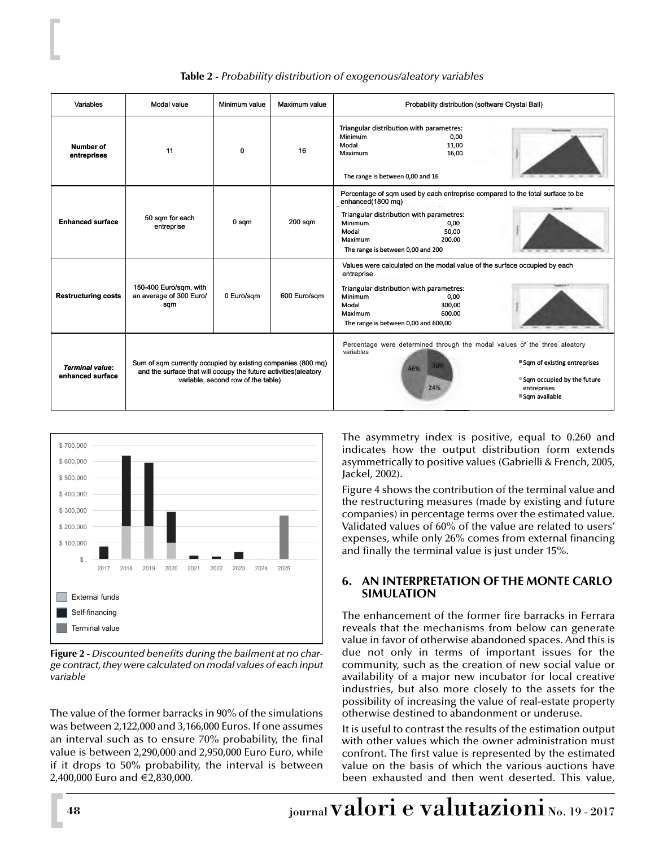| Variables                                  | Modal value                                                                                                                                                            | Minimum value | Maximum value | Probability distribution (software Crystal Ball)                                                                                                                                                                                                     |
|--------------------------------------------|------------------------------------------------------------------------------------------------------------------------------------------------------------------------|---------------|---------------|------------------------------------------------------------------------------------------------------------------------------------------------------------------------------------------------------------------------------------------------------|
| <b>Number of</b><br>entreprises            | 11                                                                                                                                                                     | 0             | 16            | Triangular distribution with parametres:<br>Minimum<br>0,00<br>Modal<br>11,00<br>Maximum<br>16,00<br>The range is between 0,00 and 16                                                                                                                |
| <b>Enhanced surface</b>                    | 50 sqm for each<br>entreprise                                                                                                                                          | 0 sqm         | $200$ sqm     | Percentage of sqm used by each entreprise compared to the total surface to be<br>enhanced(1800 mg)<br>Triangular distribution with parametres:<br>Minimum<br>0,00<br>50,00<br>Modal<br>200.00<br><b>Maximum</b><br>The range is between 0,00 and 200 |
| <b>Restructuring costs</b>                 | 150-400 Euro/sgm, with<br>an average of 300 Euro/<br>sqm                                                                                                               | 0 Euro/sqm    | 600 Euro/sqm  | Values were calculated on the modal value of the surface occupied by each<br>entreprise<br>Triangular distribution with parametres:<br>Minimum<br>0,00<br>300,00<br>Modal<br><b>Maximum</b><br>600.00<br>The range is between 0,00 and 600,00        |
| <b>Terminal value:</b><br>enhanced surface | Sum of sqm currently occupied by existing companies (800 mq)<br>and the surface that will occupy the future activities (aleatory<br>variable, second row of the table) |               |               | Percentage were determined through the modal values of the three aleatory<br>variables<br>■ Sqm of existing entreprises<br>łОF<br>46%<br>■ Sam occupied by the future<br>24%<br>entreprises<br>■ Sqm available                                       |

## **Table 2 -** *Probability distribution of exogenous/aleatory variables*



**Figure 2 -** *Discounted benefits during the bailment at no charge contract, they were calculated on modal values of each input variable*

The value of the former barracks in 90% of the simulations was between 2,122,000 and 3,166,000 Euros. If one assumes an interval such as to ensure 70% probability, the final value is between 2,290,000 and 2,950,000 Euro Euro, while if it drops to 50% probability, the interval is between 2,400,000 Euro and €2,830,000.

The asymmetry index is positive, equal to 0.260 and indicates how the output distribution form extends asymmetrically to positive values (Gabrielli & French, 2005, Jackel, 2002).

Figure 4 shows the contribution of the terminal value and the restructuring measures (made by existing and future companies) in percentage terms over the estimated value. Validated values of 60% of the value are related to users' expenses, while only 26% comes from external financing and finally the terminal value is just under 15%.

## **6. AN INTERPRETATION OF THE MONTE CARLO SIMULATION**

The enhancement of the former fire barracks in Ferrara reveals that the mechanisms from below can generate value in favor of otherwise abandoned spaces. And this is due not only in terms of important issues for the community, such as the creation of new social value or availability of a major new incubator for local creative industries, but also more closely to the assets for the possibility of increasing the value of real-estate property otherwise destined to abandonment or underuse.

It is useful to contrast the results of the estimation output with other values which the owner administration must confront. The first value is represented by the estimated value on the basis of which the various auctions have been exhausted and then went deserted. This value,

**<sup>48</sup>** journal valori e valutazioni No. 19 - 2017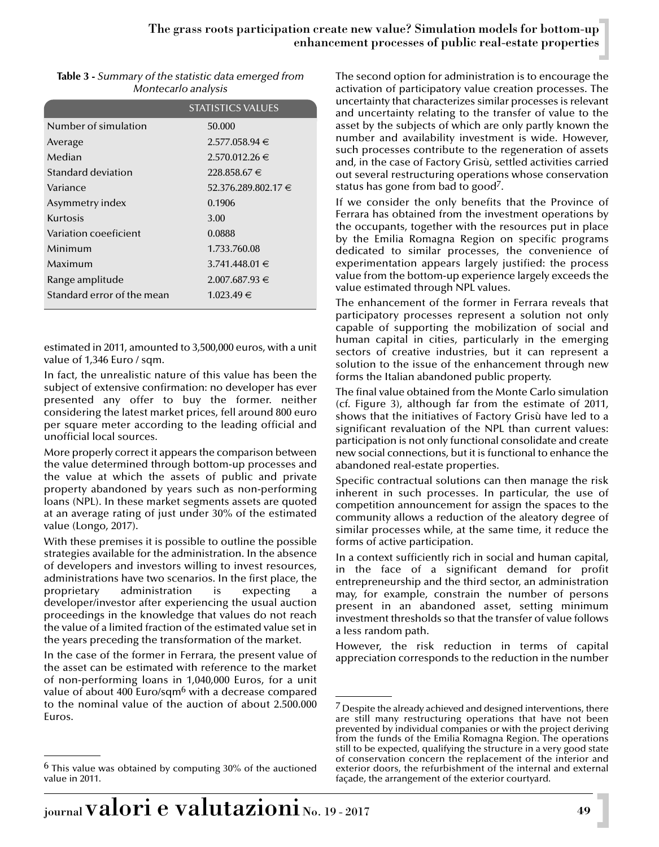| Table 3 - Summary of the statistic data emerged from |
|------------------------------------------------------|
| Montecarlo analysis                                  |

|                            | <b>STATISTICS VALUES</b> |
|----------------------------|--------------------------|
| Number of simulation       | 50.000                   |
| Average                    | $2.577.058.94 \in$       |
| Median                     | $2.570.012.26 \in$       |
| Standard deviation         | 228.858.67 €             |
| Variance                   | 52.376.289.802.17 €      |
| Asymmetry index            | 0.1906                   |
| Kurtosis                   | 3.00                     |
| Variation coeeficient      | 0.0888                   |
| Minimum                    | 1.733.760.08             |
| Maximum                    | $3.741.448.01 \in$       |
| Range amplitude            | $2.007.687.93 \in$       |
| Standard error of the mean | $1.023.49 \in$           |

estimated in 2011, amounted to 3,500,000 euros, with a unit value of 1,346 Euro / sqm.

In fact, the unrealistic nature of this value has been the subject of extensive confirmation: no developer has ever presented any offer to buy the former. neither considering the latest market prices, fell around 800 euro per square meter according to the leading official and unofficial local sources.

More properly correct it appears the comparison between the value determined through bottom-up processes and the value at which the assets of public and private property abandoned by years such as non-performing loans (NPL). In these market segments assets are quoted at an average rating of just under 30% of the estimated value (Longo, 2017).

With these premises it is possible to outline the possible strategies available for the administration. In the absence of developers and investors willing to invest resources, administrations have two scenarios. In the first place, the proprietary administration is expecting developer/investor after experiencing the usual auction proceedings in the knowledge that values do not reach the value of a limited fraction of the estimated value set in the years preceding the transformation of the market.

In the case of the former in Ferrara, the present value of the asset can be estimated with reference to the market of non-performing loans in 1,040,000 Euros, for a unit value of about 400 Euro/sqm<sup>6</sup> with a decrease compared to the nominal value of the auction of about 2.500.000 Euros.

The second option for administration is to encourage the activation of participatory value creation processes. The uncertainty that characterizes similar processes is relevant and uncertainty relating to the transfer of value to the asset by the subjects of which are only partly known the number and availability investment is wide. However, such processes contribute to the regeneration of assets and, in the case of Factory Grisù, settled activities carried out several restructuring operations whose conservation status has gone from bad to good<sup>7</sup>.

If we consider the only benefits that the Province of Ferrara has obtained from the investment operations by the occupants, together with the resources put in place by the Emilia Romagna Region on specific programs dedicated to similar processes, the convenience of experimentation appears largely justified: the process value from the bottom-up experience largely exceeds the value estimated through NPL values.

The enhancement of the former in Ferrara reveals that participatory processes represent a solution not only capable of supporting the mobilization of social and human capital in cities, particularly in the emerging sectors of creative industries, but it can represent a solution to the issue of the enhancement through new forms the Italian abandoned public property.

The final value obtained from the Monte Carlo simulation (cf. Figure 3), although far from the estimate of 2011, shows that the initiatives of Factory Grisù have led to a significant revaluation of the NPL than current values: participation is not only functional consolidate and create new social connections, but it is functional to enhance the abandoned real-estate properties.

Specific contractual solutions can then manage the risk inherent in such processes. In particular, the use of competition announcement for assign the spaces to the community allows a reduction of the aleatory degree of similar processes while, at the same time, it reduce the forms of active participation.

In a context sufficiently rich in social and human capital, in the face of a significant demand for profit entrepreneurship and the third sector, an administration may, for example, constrain the number of persons present in an abandoned asset, setting minimum investment thresholds so that the transfer of value follows a less random path.

However, the risk reduction in terms of capital appreciation corresponds to the reduction in the number

 $6$  This value was obtained by computing 30% of the auctioned value in 2011.

 $\frac{7}{2}$  Despite the already achieved and designed interventions, there are still many restructuring operations that have not been prevented by individual companies or with the project deriving from the funds of the Emilia Romagna Region. The operations still to be expected, qualifying the structure in a very good state of conservation concern the replacement of the interior and exterior doors, the refurbishment of the internal and external façade, the arrangement of the exterior courtyard.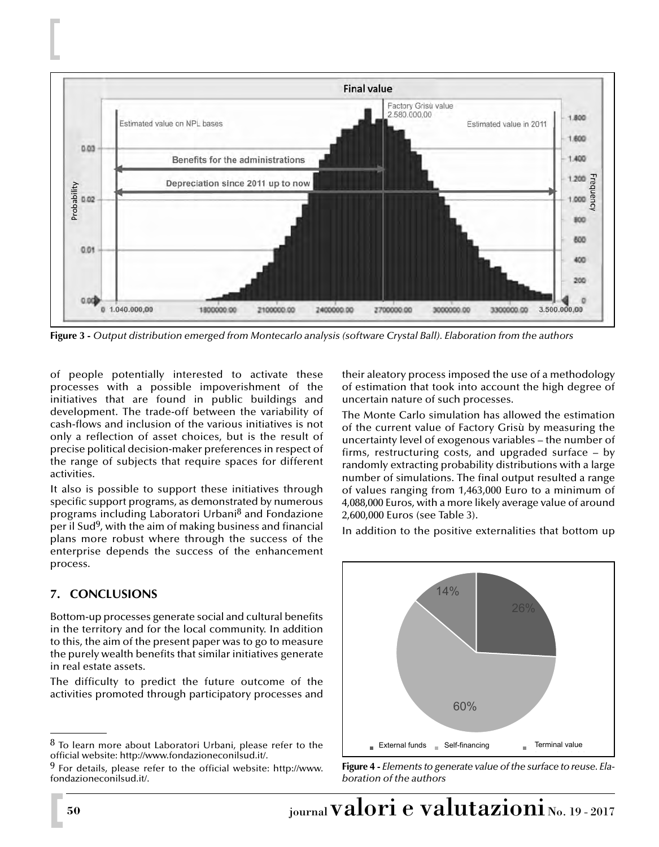

**Figure 3 -** *Output distribution emerged from Montecarlo analysis (software Crystal Ball). Elaboration from the authors*

of people potentially interested to activate these processes with a possible impoverishment of the initiatives that are found in public buildings and development. The trade-off between the variability of cash-flows and inclusion of the various initiatives is not only a reflection of asset choices, but is the result of precise political decision-maker preferences in respect of the range of subjects that require spaces for different activities.

It also is possible to support these initiatives through specific support programs, as demonstrated by numerous programs including Laboratori Urbani<sup>8</sup> and Fondazione per il Sud<sup>9</sup>, with the aim of making business and financial plans more robust where through the success of the enterprise depends the success of the enhancement process.

# **7. CONCLUSIONS**

Bottom-up processes generate social and cultural benefits in the territory and for the local community. In addition to this, the aim of the present paper was to go to measure the purely wealth benefits that similar initiatives generate in real estate assets.

The difficulty to predict the future outcome of the activities promoted through participatory processes and

 $8$  To learn more about Laboratori Urbani, please refer to the official website: http://www.fondazioneconilsud.it/.

 $9$  For details, please refer to the official website: http://www. fondazioneconilsud.it/.

their aleatory process imposed the use of a methodology of estimation that took into account the high degree of uncertain nature of such processes.

The Monte Carlo simulation has allowed the estimation of the current value of Factory Grisù by measuring the uncertainty level of exogenous variables – the number of firms, restructuring costs, and upgraded surface – by randomly extracting probability distributions with a large number of simulations. The final output resulted a range of values ranging from 1,463,000 Euro to a minimum of 4,088,000 Euros, with a more likely average value of around 2,600,000 Euros (see Table 3).

In addition to the positive externalities that bottom up



**Figure 4 -** *Elements to generate value of the surface to reuse. Elaboration of the authors*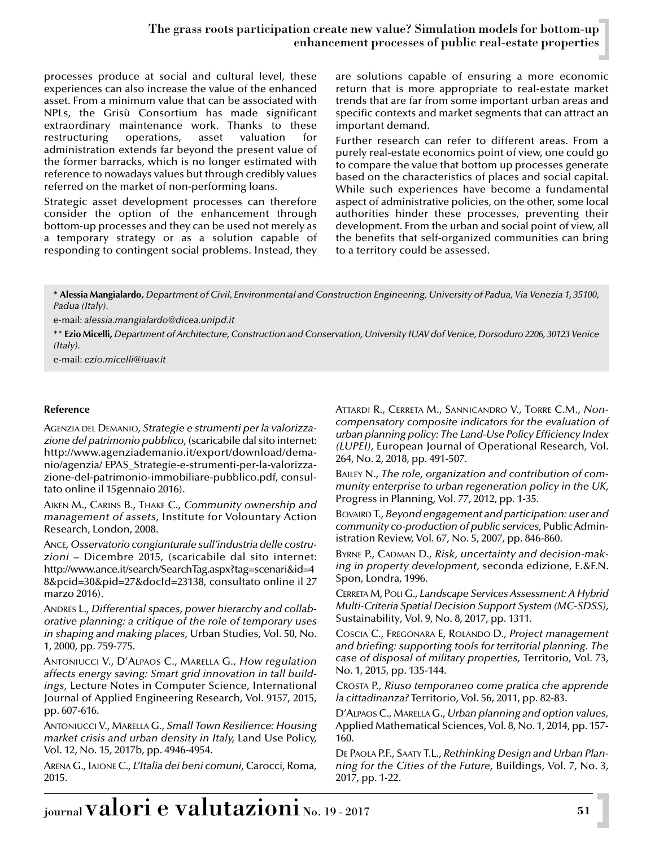# The grass roots participation create new value? Simulation models for bottom-up enhancement processes of public real-estate properties

processes produce at social and cultural level, these experiences can also increase the value of the enhanced asset. From a minimum value that can be associated with NPLs, the Grisù Consortium has made significant extraordinary maintenance work. Thanks to these restructuring operations, asset valuation for administration extends far beyond the present value of the former barracks, which is no longer estimated with reference to nowadays values but through credibly values referred on the market of non-performing loans.

Strategic asset development processes can therefore consider the option of the enhancement through bottom-up processes and they can be used not merely as a temporary strategy or as a solution capable of responding to contingent social problems. Instead, they are solutions capable of ensuring a more economic return that is more appropriate to real-estate market trends that are far from some important urban areas and specific contexts and market segments that can attract an important demand.

Further research can refer to different areas. From a purely real-estate economics point of view, one could go to compare the value that bottom up processes generate based on the characteristics of places and social capital. While such experiences have become a fundamental aspect of administrative policies, on the other, some local authorities hinder these processes, preventing their development. From the urban and social point of view, all the benefits that self-organized communities can bring to a territory could be assessed.

\* **Alessia Mangialardo,** *Department of Civil, Environmental and Construction Engineering, University of Padua, Via Venezia 1, 35100, Padua (Italy).*

e-mail: *alessia.mangialardo@dicea.unipd.it*

\*\* **Ezio Micelli,** *Department of Architecture, Construction and Conservation, University IUAV dof Venice, Dorsoduro 2206, 30123 Venice (Italy).*

e-mail: *ezio.micelli@iuav.it*

#### **Reference**

AGENZIA DEL DEMANIO, *Strategie e strumenti per la valorizzazione del patrimonio pubblico*, (scaricabile dal sito internet: http://www.agenziademanio.it/export/download/demanio/agenzia/ EPAS\_Strategie-e-strumenti-per-la-valorizzazione-del-patrimonio-immobiliare-pubblico.pdf, consultato online il 15gennaio 2016).

AIKEN M., CARINS B., THAKE C., *Community ownership and management of assets,* Institute for Volountary Action Research, London, 2008.

ANCE, *Osservatorio congiunturale sull'industria delle costruzioni* – Dicembre 2015, (scaricabile dal sito internet: http://www.ance.it/search/SearchTag.aspx?tag=scenari&id=4 8&pcid=30&pid=27&docId=23138, consultato online il 27 marzo 2016).

ANDRES L., *Differential spaces, power hierarchy and collaborative planning: a critique of the role of temporary uses in shaping and making places,* Urban Studies, Vol. 50, No. 1, 2000, pp. 759-775.

ANTONIUCCI V., D'ALPAOS C., MARELLA G., *How regulation affects energy saving: Smart grid innovation in tall buildings*, Lecture Notes in Computer Science, International Journal of Applied Engineering Research*,* Vol. 9157, 2015, pp. 607-616.

ANTONIUCCI V., MARELLA G., *Small Town Resilience: Housing market crisis and urban density in Italy,* Land Use Policy, Vol. 12, No. 15, 2017b, pp. 4946-4954.

ARENA G., IAIONE C., *L'Italia dei beni comuni,* Carocci, Roma, 2015.

ATTARDI R., CERRETA M., SANNICANDRO V., TORRE C.M., *Noncompensatory composite indicators for the evaluation of urban planning policy: The Land-Use Policy Efficiency Index (LUPEI),* European Journal of Operational Research*,* Vol. 264, No. 2, 2018, pp. 491-507.

BAILEY N., *The role, organization and contribution of community enterprise to urban regeneration policy in the UK,* Progress in Planning, Vol. 77, 2012, pp. 1-35.

BOVAIRD T., *Beyond engagement and participation: user and community co-production of public services,* Public Administration Review, Vol. 67, No. 5, 2007, pp. 846-860.

BYRNE P., CADMAN D., *Risk, uncertainty and decision-making in property development,* seconda edizione, E.&F.N. Spon, Londra, 1996.

CERRETA M, POLI G., *Landscape Services Assessment: A Hybrid Multi-Criteria Spatial Decision Support System (MC-SDSS),* Sustainability*,* Vol. 9, No. 8, 2017, pp. 1311.

COSCIA C., FREGONARA E, ROLANDO D., *Project management and briefing: supporting tools for territorial planning. The case of disposal of military properties,* Territorio, Vol. 73, No. 1, 2015, pp. 135-144.

CROSTA P., *Riuso temporaneo come pratica che apprende la cittadinanza?* Territorio, Vol. 56, 2011, pp. 82-83.

D'ALPAOS C., MARELLA G., *Urban planning and option values,* Applied Mathematical Sciences, Vol. 8, No. 1, 2014, pp. 157- 160.

DE PAOLA P.F., SAATY T.L., *Rethinking Design and Urban Planning for the Cities of the Future,* Buildings, Vol. 7, No. 3, 2017, pp. 1-22.